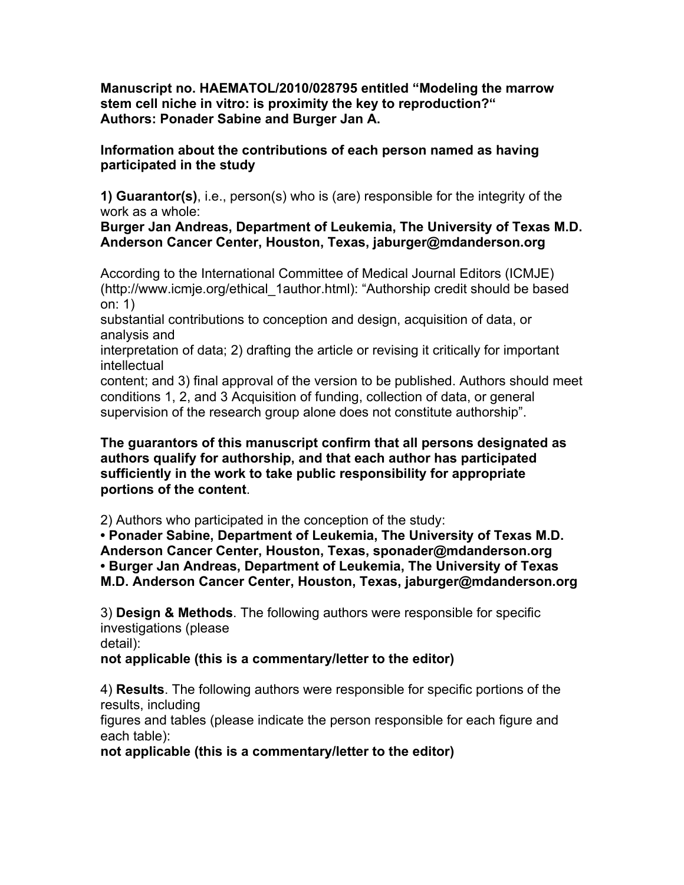**Manuscript no. HAEMATOL/2010/028795 entitled "Modeling the marrow stem cell niche in vitro: is proximity the key to reproduction?" Authors: Ponader Sabine and Burger Jan A.**

**Information about the contributions of each person named as having participated in the study**

**1) Guarantor(s)**, i.e., person(s) who is (are) responsible for the integrity of the work as a whole:

**Burger Jan Andreas, Department of Leukemia, The University of Texas M.D. Anderson Cancer Center, Houston, Texas, jaburger@mdanderson.org**

According to the International Committee of Medical Journal Editors (ICMJE) (http://www.icmje.org/ethical\_1author.html): "Authorship credit should be based on: 1)

substantial contributions to conception and design, acquisition of data, or analysis and

interpretation of data; 2) drafting the article or revising it critically for important intellectual

content; and 3) final approval of the version to be published. Authors should meet conditions 1, 2, and 3 Acquisition of funding, collection of data, or general supervision of the research group alone does not constitute authorship".

**The guarantors of this manuscript confirm that all persons designated as authors qualify for authorship, and that each author has participated sufficiently in the work to take public responsibility for appropriate portions of the content**.

2) Authors who participated in the conception of the study:

**• Ponader Sabine, Department of Leukemia, The University of Texas M.D. Anderson Cancer Center, Houston, Texas, sponader@mdanderson.org • Burger Jan Andreas, Department of Leukemia, The University of Texas M.D. Anderson Cancer Center, Houston, Texas, jaburger@mdanderson.org**

3) **Design & Methods**. The following authors were responsible for specific investigations (please detail):

**not applicable (this is a commentary/letter to the editor)**

4) **Results**. The following authors were responsible for specific portions of the results, including

figures and tables (please indicate the person responsible for each figure and each table):

**not applicable (this is a commentary/letter to the editor)**